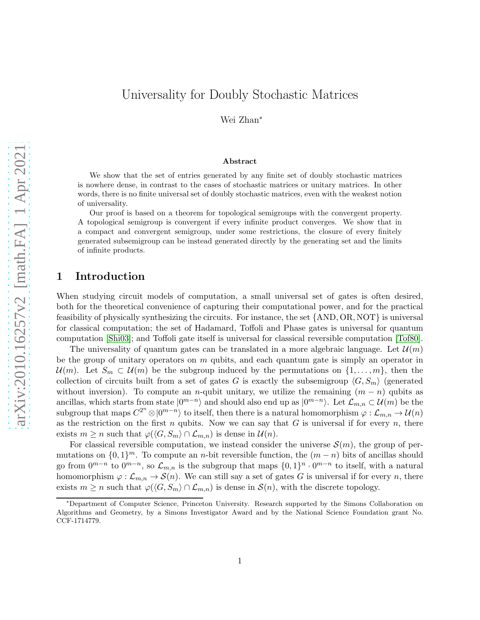Wei Zhan<sup>∗</sup>

#### Abstract

We show that the set of entries generated by any finite set of doubly stochastic matrices is nowhere dense, in contrast to the cases of stochastic matrices or unitary matrices. In other words, there is no finite universal set of doubly stochastic matrices, even with the weakest notion of universality.

Our proof is based on a theorem for topological semigroups with the convergent property. A topological semigroup is convergent if every infinite product converges. We show that in a compact and convergent semigroup, under some restrictions, the closure of every finitely generated subsemigroup can be instead generated directly by the generating set and the limits of infinite products.

## 1 Introduction

When studying circuit models of computation, a small universal set of gates is often desired, both for the theoretical convenience of capturing their computational power, and for the practical feasibility of physically synthesizing the circuits. For instance, the set {AND, OR, NOT} is universal for classical computation; the set of Hadamard, Toffoli and Phase gates is universal for quantum computation [\[Shi03\]](#page-15-0); and Toffoli gate itself is universal for classical reversible computation [\[Tof80\]](#page-15-1).

The universality of quantum gates can be translated in a more algebraic language. Let  $\mathcal{U}(m)$ be the group of unitary operators on  $m$  qubits, and each quantum gate is simply an operator in  $\mathcal{U}(m)$ . Let  $S_m \subset \mathcal{U}(m)$  be the subgroup induced by the permutations on  $\{1,\ldots,m\}$ , then the collection of circuits built from a set of gates G is exactly the subsemigroup  $\langle G, S_m \rangle$  (generated without inversion). To compute an n-qubit unitary, we utilize the remaining  $(m - n)$  qubits as ancillas, which starts from state  $|0^{m-n}\rangle$  and should also end up as  $|0^{m-n}\rangle$ . Let  $\mathcal{L}_{m,n} \subset \mathcal{U}(m)$  be the subgroup that maps  $C^{2^n}\otimes|0^{m-n}\rangle$  to itself, then there is a natural homomorphism  $\varphi:\mathcal{L}_{m,n}\to\mathcal{U}(n)$ as the restriction on the first  $n$  qubits. Now we can say that  $G$  is universal if for every  $n$ , there exists  $m \ge n$  such that  $\varphi(\langle G, S_m \rangle \cap \mathcal{L}_{m,n})$  is dense in  $\mathcal{U}(n)$ .

For classical reversible computation, we instead consider the universe  $\mathcal{S}(m)$ , the group of permutations on  $\{0,1\}^m$ . To compute an *n*-bit reversible function, the  $(m-n)$  bits of ancillas should go from  $0^{m-n}$  to  $0^{m-n}$ , so  $\mathcal{L}_{m,n}$  is the subgroup that maps  $\{0,1\}^n \cdot 0^{m-n}$  to itself, with a natural homomorphism  $\varphi : \mathcal{L}_{m,n} \to \mathcal{S}(n)$ . We can still say a set of gates G is universal if for every n, there exists  $m \ge n$  such that  $\varphi(\langle G, S_m \rangle \cap \mathcal{L}_{m,n})$  is dense in  $\mathcal{S}(n)$ , with the discrete topology.

<sup>∗</sup>Department of Computer Science, Princeton University. Research supported by the Simons Collaboration on Algorithms and Geometry, by a Simons Investigator Award and by the National Science Foundation grant No. CCF-1714779.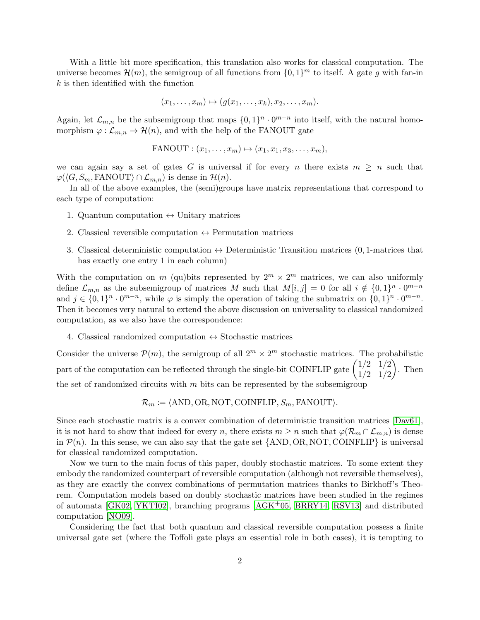With a little bit more specification, this translation also works for classical computation. The universe becomes  $\mathcal{H}(m)$ , the semigroup of all functions from  $\{0,1\}^m$  to itself. A gate g with fan-in  $k$  is then identified with the function

$$
(x_1,\ldots,x_m)\mapsto (g(x_1,\ldots,x_k),x_2,\ldots,x_m).
$$

Again, let  $\mathcal{L}_{m,n}$  be the subsemigroup that maps  $\{0,1\}^n \cdot 0^{m-n}$  into itself, with the natural homomorphism  $\varphi : \mathcal{L}_{m,n} \to \mathcal{H}(n)$ , and with the help of the FANOUT gate

$$
FANOUT: (x_1, \ldots, x_m) \mapsto (x_1, x_1, x_3, \ldots, x_m),
$$

we can again say a set of gates G is universal if for every n there exists  $m \geq n$  such that  $\varphi(\langle G, S_m, \text{FANOUT}\rangle \cap \mathcal{L}_{m,n})$  is dense in  $\mathcal{H}(n)$ .

In all of the above examples, the (semi)groups have matrix representations that correspond to each type of computation:

- 1. Quantum computation  $\leftrightarrow$  Unitary matrices
- 2. Classical reversible computation  $\leftrightarrow$  Permutation matrices
- 3. Classical deterministic computation  $\leftrightarrow$  Deterministic Transition matrices (0, 1-matrices that has exactly one entry 1 in each column)

With the computation on m (qu) bits represented by  $2^m \times 2^m$  matrices, we can also uniformly define  $\mathcal{L}_{m,n}$  as the subsemigroup of matrices M such that  $M[i,j] = 0$  for all  $i \notin \{0,1\}^n \cdot 0^{m-n}$ and  $j \in \{0,1\}^n \cdot 0^{m-n}$ , while  $\varphi$  is simply the operation of taking the submatrix on  $\{0,1\}^n \cdot 0^{m-n}$ . Then it becomes very natural to extend the above discussion on universality to classical randomized computation, as we also have the correspondence:

4. Classical randomized computation  $\leftrightarrow$  Stochastic matrices

Consider the universe  $\mathcal{P}(m)$ , the semigroup of all  $2^m \times 2^m$  stochastic matrices. The probabilistic part of the computation can be reflected through the single-bit COINFLIP gate  $\begin{pmatrix} 1/2 & 1/2 \\ 1/2 & 1/2 \end{pmatrix}$ 1/2 1/2  $\Big).$  Then the set of randomized circuits with  $m$  bits can be represented by the subsemigroup

$$
\mathcal{R}_m \coloneqq \langle \text{AND}, \text{OR}, \text{NOT}, \text{CONFLIP}, S_m, \text{FANOUT} \rangle.
$$

Since each stochastic matrix is a convex combination of deterministic transition matrices [\[Dav61\]](#page-14-0), it is not hard to show that indeed for every n, there exists  $m \geq n$  such that  $\varphi(\mathcal{R}_m \cap \mathcal{L}_{m,n})$  is dense in  $\mathcal{P}(n)$ . In this sense, we can also say that the gate set {AND, OR, NOT, COINFLIP} is universal for classical randomized computation.

Now we turn to the main focus of this paper, doubly stochastic matrices. To some extent they embody the randomized counterpart of reversible computation (although not reversible themselves), as they are exactly the convex combinations of permutation matrices thanks to Birkhoff's Theorem. Computation models based on doubly stochastic matrices have been studied in the regimes of automata [\[GK02,](#page-14-1) [YKTI02\]](#page-15-2), branching programs [\[AGK](#page-14-2)+05, [BRRY14,](#page-14-3) [RSV13\]](#page-15-3) and distributed computation [\[NO09\]](#page-15-4).

Considering the fact that both quantum and classical reversible computation possess a finite universal gate set (where the Toffoli gate plays an essential role in both cases), it is tempting to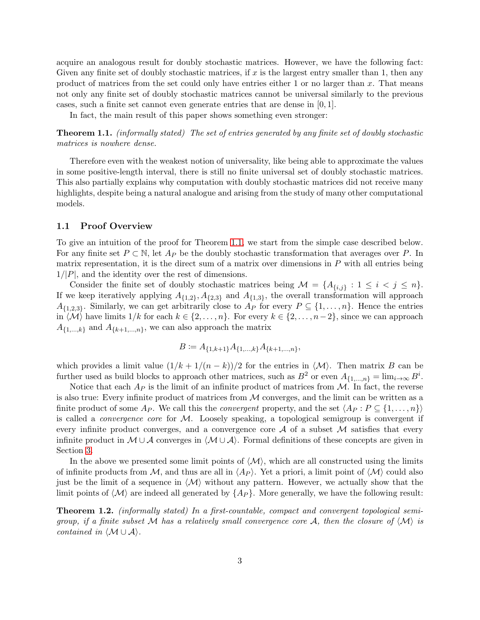acquire an analogous result for doubly stochastic matrices. However, we have the following fact: Given any finite set of doubly stochastic matrices, if  $x$  is the largest entry smaller than 1, then any product of matrices from the set could only have entries either 1 or no larger than  $x$ . That means not only any finite set of doubly stochastic matrices cannot be universal similarly to the previous cases, such a finite set cannot even generate entries that are dense in  $[0, 1]$ .

<span id="page-2-0"></span>In fact, the main result of this paper shows something even stronger:

Theorem 1.1. *(informally stated) The set of entries generated by any finite set of doubly stochastic matrices is nowhere dense.*

Therefore even with the weakest notion of universality, like being able to approximate the values in some positive-length interval, there is still no finite universal set of doubly stochastic matrices. This also partially explains why computation with doubly stochastic matrices did not receive many highlights, despite being a natural analogue and arising from the study of many other computational models.

### 1.1 Proof Overview

To give an intuition of the proof for Theorem [1.1,](#page-2-0) we start from the simple case described below. For any finite set  $P \subset \mathbb{N}$ , let  $A_P$  be the doubly stochastic transformation that averages over P. In matrix representation, it is the direct sum of a matrix over dimensions in  $P$  with all entries being  $1/|P|$ , and the identity over the rest of dimensions.

Consider the finite set of doubly stochastic matrices being  $\mathcal{M} = \{A_{\{i,j\}} : 1 \leq i < j \leq n\}.$ If we keep iteratively applying  $A_{\{1,2\}}$ ,  $A_{\{2,3\}}$  and  $A_{\{1,3\}}$ , the overall transformation will approach  $A_{\{1,2,3\}}$ . Similarly, we can get arbitrarily close to  $A_P$  for every  $P \subseteq \{1,\ldots,n\}$ . Hence the entries in  $\langle \mathcal{M} \rangle$  have limits  $1/k$  for each  $k \in \{2, \ldots, n\}$ . For every  $k \in \{2, \ldots, n-2\}$ , since we can approach  $A_{\{1,\ldots,k\}}$  and  $A_{\{k+1,\ldots,n\}}$ , we can also approach the matrix

$$
B := A_{\{1,k+1\}} A_{\{1,\ldots,k\}} A_{\{k+1,\ldots,n\}},
$$

which provides a limit value  $(1/k + 1/(n - k))/2$  for the entries in  $\langle \mathcal{M} \rangle$ . Then matrix B can be further used as build blocks to approach other matrices, such as  $B^2$  or even  $A_{\{1,\ldots,n\}} = \lim_{i \to \infty} B^i$ .

Notice that each  $A_P$  is the limit of an infinite product of matrices from M. In fact, the reverse is also true: Every infinite product of matrices from  $\mathcal M$  converges, and the limit can be written as a finite product of some  $A_P$ . We call this the *convergent* property, and the set  $\langle A_P : P \subseteq \{1, ..., n\}\rangle$ is called a *convergence core* for M. Loosely speaking, a topological semigroup is convergent if every infinite product converges, and a convergence core  $A$  of a subset  $M$  satisfies that every infinite product in  $M \cup A$  converges in  $\langle M \cup A \rangle$ . Formal definitions of these concepts are given in Section [3.](#page-5-0)

In the above we presented some limit points of  $\langle M \rangle$ , which are all constructed using the limits of infinite products from M, and thus are all in  $\langle Ap \rangle$ . Yet a priori, a limit point of  $\langle M \rangle$  could also just be the limit of a sequence in  $\langle \mathcal{M} \rangle$  without any pattern. However, we actually show that the limit points of  $\langle \mathcal{M} \rangle$  are indeed all generated by  $\{Ap\}$ . More generally, we have the following result:

<span id="page-2-1"></span>Theorem 1.2. *(informally stated) In a first-countable, compact and convergent topological semigroup, if a finite subset* M has a relatively small convergence core A, then the closure of  $\langle M \rangle$  is *contained in*  $\langle \mathcal{M} \cup \mathcal{A} \rangle$ *.*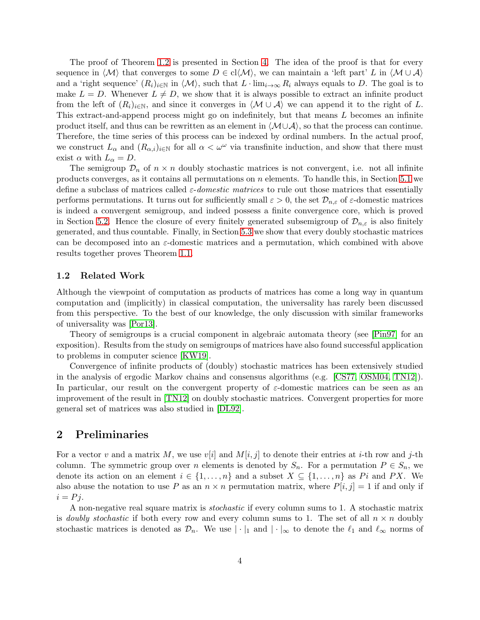The proof of Theorem [1.2](#page-2-1) is presented in Section [4.](#page-7-0) The idea of the proof is that for every sequence in  $\langle \mathcal{M} \rangle$  that converges to some  $D \in cl \langle \mathcal{M} \rangle$ , we can maintain a 'left part' L in  $\langle \mathcal{M} \cup \mathcal{A} \rangle$ and a 'right sequence'  $(R_i)_{i\in\mathbb{N}}$  in  $\langle \mathcal{M} \rangle$ , such that  $L \cdot \lim_{i\to\infty} R_i$  always equals to D. The goal is to make  $L = D$ . Whenever  $L \neq D$ , we show that it is always possible to extract an infinite product from the left of  $(R_i)_{i\in\mathbb{N}}$ , and since it converges in  $\langle \mathcal{M} \cup \mathcal{A} \rangle$  we can append it to the right of L. This extract-and-append process might go on indefinitely, but that means L becomes an infinite product itself, and thus can be rewritten as an element in  $\langle \mathcal{M} \cup \mathcal{A} \rangle$ , so that the process can continue. Therefore, the time series of this process can be indexed by ordinal numbers. In the actual proof, we construct  $L_{\alpha}$  and  $(R_{\alpha,i})_{i\in\mathbb{N}}$  for all  $\alpha<\omega^{\omega}$  via transfinite induction, and show that there must exist  $\alpha$  with  $L_{\alpha} = D$ .

The semigroup  $\mathcal{D}_n$  of  $n \times n$  doubly stochastic matrices is not convergent, i.e. not all infinite products converges, as it contains all permutations on  $n$  elements. To handle this, in Section [5.1](#page-9-0) we define a subclass of matrices called ε-*domestic matrices* to rule out those matrices that essentially performs permutations. It turns out for sufficiently small  $\varepsilon > 0$ , the set  $\mathcal{D}_{n,\varepsilon}$  of  $\varepsilon$ -domestic matrices is indeed a convergent semigroup, and indeed possess a finite convergence core, which is proved in Section [5.2.](#page-11-0) Hence the closure of every finitely generated subsemigroup of  $\mathcal{D}_{n,\varepsilon}$  is also finitely generated, and thus countable. Finally, in Section [5.3](#page-12-0) we show that every doubly stochastic matrices can be decomposed into an  $\varepsilon$ -domestic matrices and a permutation, which combined with above results together proves Theorem [1.1.](#page-2-0)

#### 1.2 Related Work

Although the viewpoint of computation as products of matrices has come a long way in quantum computation and (implicitly) in classical computation, the universality has rarely been discussed from this perspective. To the best of our knowledge, the only discussion with similar frameworks of universality was [\[Por13\]](#page-15-5).

Theory of semigroups is a crucial component in algebraic automata theory (see [\[Pin97\]](#page-15-6) for an exposition). Results from the study on semigroups of matrices have also found successful application to problems in computer science [\[KW19\]](#page-15-7).

Convergence of infinite products of (doubly) stochastic matrices has been extensively studied in the analysis of ergodic Markov chains and consensus algorithms (e.g. [\[CS77,](#page-14-4) [OSM04,](#page-15-8) [TN12\]](#page-15-9)). In particular, our result on the convergent property of  $\varepsilon$ -domestic matrices can be seen as an improvement of the result in [\[TN12\]](#page-15-9) on doubly stochastic matrices. Convergent properties for more general set of matrices was also studied in [\[DL92\]](#page-14-5).

# 2 Preliminaries

For a vector v and a matrix M, we use  $v[i]$  and  $M[i, j]$  to denote their entries at i-th row and j-th column. The symmetric group over n elements is denoted by  $S_n$ . For a permutation  $P \in S_n$ , we denote its action on an element  $i \in \{1, \ldots, n\}$  and a subset  $X \subseteq \{1, \ldots, n\}$  as Pi and PX. We also abuse the notation to use P as an  $n \times n$  permutation matrix, where  $P[i, j] = 1$  if and only if  $i = Pj$ .

A non-negative real square matrix is *stochastic* if every column sums to 1. A stochastic matrix is *doubly stochastic* if both every row and every column sums to 1. The set of all  $n \times n$  doubly stochastic matrices is denoted as  $\mathcal{D}_n$ . We use  $|\cdot|_1$  and  $|\cdot|_\infty$  to denote the  $\ell_1$  and  $\ell_\infty$  norms of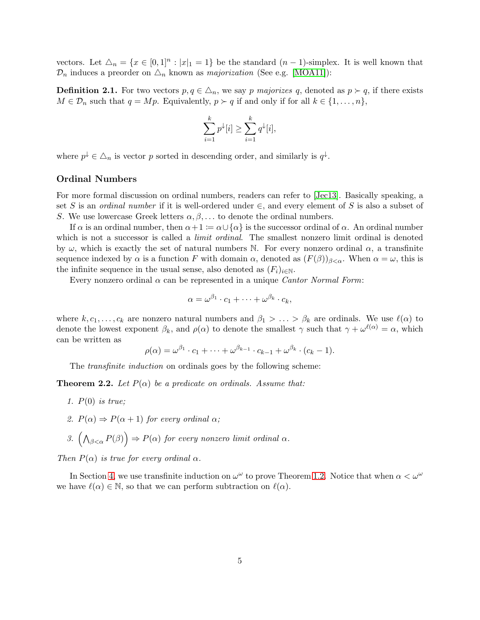vectors. Let  $\Delta_n = \{x \in [0,1]^n : |x|_1 = 1\}$  be the standard  $(n-1)$ -simplex. It is well known that  $\mathcal{D}_n$  induces a preorder on  $\Delta_n$  known as *majorization* (See e.g. [\[MOA11\]](#page-15-10)):

**Definition 2.1.** For two vectors  $p, q \in \Delta_n$ , we say p majorizes q, denoted as  $p \succ q$ , if there exists  $M \in \mathcal{D}_n$  such that  $q = Mp$ . Equivalently,  $p \succ q$  if and only if for all  $k \in \{1, \ldots, n\}$ ,

$$
\sum_{i=1}^k p^{\downarrow}[i] \ge \sum_{i=1}^k q^{\downarrow}[i],
$$

where  $p^{\downarrow} \in \triangle_n$  is vector p sorted in descending order, and similarly is  $q^{\downarrow}$ .

#### Ordinal Numbers

For more formal discussion on ordinal numbers, readers can refer to [\[Jec13\]](#page-14-6). Basically speaking, a set S is an *ordinal number* if it is well-ordered under  $\in$ , and every element of S is also a subset of S. We use lowercase Greek letters  $\alpha, \beta, \ldots$  to denote the ordinal numbers.

If  $\alpha$  is an ordinal number, then  $\alpha+1 := \alpha \cup {\alpha}$  is the successor ordinal of  $\alpha$ . An ordinal number which is not a successor is called a *limit ordinal*. The smallest nonzero limit ordinal is denoted by  $\omega$ , which is exactly the set of natural numbers N. For every nonzero ordinal  $\alpha$ , a transfinite sequence indexed by  $\alpha$  is a function F with domain  $\alpha$ , denoted as  $(F(\beta))_{\beta<\alpha}$ . When  $\alpha=\omega$ , this is the infinite sequence in the usual sense, also denoted as  $(F_i)_{i\in\mathbb{N}}$ .

Every nonzero ordinal α can be represented in a unique *Cantor Normal Form*:

$$
\alpha = \omega^{\beta_1} \cdot c_1 + \cdots + \omega^{\beta_k} \cdot c_k,
$$

where  $k, c_1, \ldots, c_k$  are nonzero natural numbers and  $\beta_1 > \ldots > \beta_k$  are ordinals. We use  $\ell(\alpha)$  to denote the lowest exponent  $\beta_k$ , and  $\rho(\alpha)$  to denote the smallest  $\gamma$  such that  $\gamma + \omega^{\ell(\alpha)} = \alpha$ , which can be written as

$$
\rho(\alpha) = \omega^{\beta_1} \cdot c_1 + \cdots + \omega^{\beta_{k-1}} \cdot c_{k-1} + \omega^{\beta_k} \cdot (c_k - 1).
$$

The *transfinite induction* on ordinals goes by the following scheme:

**Theorem 2.2.** Let  $P(\alpha)$  be a predicate on ordinals. Assume that:

- *1.* P(0) *is true;*
- 2.  $P(\alpha) \Rightarrow P(\alpha + 1)$  *for every ordinal*  $\alpha$ *;*

3. 
$$
\left(\bigwedge_{\beta<\alpha}P(\beta)\right)\Rightarrow P(\alpha) \text{ for every nonzero limit ordinal }\alpha.
$$

*Then*  $P(\alpha)$  *is true for every ordinal*  $\alpha$ *.* 

In Section [4,](#page-7-0) we use transfinite induction on  $\omega^{\omega}$  to prove Theorem [1.2.](#page-2-1) Notice that when  $\alpha < \omega^{\omega}$ we have  $\ell(\alpha) \in \mathbb{N}$ , so that we can perform subtraction on  $\ell(\alpha)$ .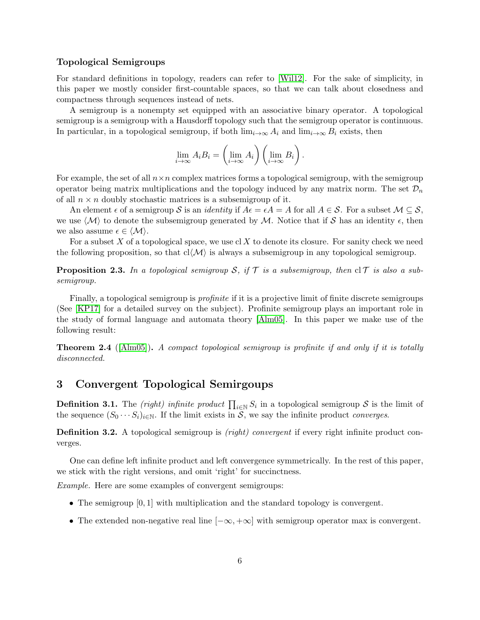### Topological Semigroups

For standard definitions in topology, readers can refer to [\[Wil12\]](#page-15-11). For the sake of simplicity, in this paper we mostly consider first-countable spaces, so that we can talk about closedness and compactness through sequences instead of nets.

A semigroup is a nonempty set equipped with an associative binary operator. A topological semigroup is a semigroup with a Hausdorff topology such that the semigroup operator is continuous. In particular, in a topological semigroup, if both  $\lim_{i\to\infty} A_i$  and  $\lim_{i\to\infty} B_i$  exists, then

$$
\lim_{i \to \infty} A_i B_i = \left(\lim_{i \to \infty} A_i\right) \left(\lim_{i \to \infty} B_i\right).
$$

For example, the set of all  $n \times n$  complex matrices forms a topological semigroup, with the semigroup operator being matrix multiplications and the topology induced by any matrix norm. The set  $\mathcal{D}_n$ of all  $n \times n$  doubly stochastic matrices is a subsemigroup of it.

An element  $\epsilon$  of a semigroup S is an *identity* if  $A\epsilon = \epsilon A = A$  for all  $A \in S$ . For a subset  $\mathcal{M} \subseteq S$ , we use  $\langle \mathcal{M} \rangle$  to denote the subsemigroup generated by M. Notice that if S has an identity  $\epsilon$ , then we also assume  $\epsilon \in \langle \mathcal{M} \rangle$ .

For a subset  $X$  of a topological space, we use cl  $X$  to denote its closure. For sanity check we need the following proposition, so that  $cl(M)$  is always a subsemigroup in any topological semigroup.

**Proposition 2.3.** In a topological semigroup S, if  $\mathcal{T}$  is a subsemigroup, then  $cl\mathcal{T}$  is also a sub*semigroup.*

Finally, a topological semigroup is *profinite* if it is a projective limit of finite discrete semigroups (See [\[KP17\]](#page-14-7) for a detailed survey on the subject). Profinite semigroup plays an important role in the study of formal language and automata theory [\[Alm05\]](#page-14-8). In this paper we make use of the following result:

<span id="page-5-1"></span>Theorem 2.4 ([\[Alm05\]](#page-14-8)). *A compact topological semigroup is profinite if and only if it is totally disconnected.*

# <span id="page-5-0"></span>3 Convergent Topological Semirgoups

**Definition 3.1.** The *(right)* infinite product  $\prod_{i\in\mathbb{N}}S_i$  in a topological semigroup S is the limit of the sequence  $(S_0 \cdots S_i)_{i \in \mathbb{N}}$ . If the limit exists in S, we say the infinite product *converges*.

Definition 3.2. A topological semigroup is *(right) convergent* if every right infinite product converges.

One can define left infinite product and left convergence symmetrically. In the rest of this paper, we stick with the right versions, and omit 'right' for succinctness.

*Example.* Here are some examples of convergent semigroups:

- The semigroup  $[0, 1]$  with multiplication and the standard topology is convergent.
- The extended non-negative real line  $[-\infty, +\infty]$  with semigroup operator max is convergent.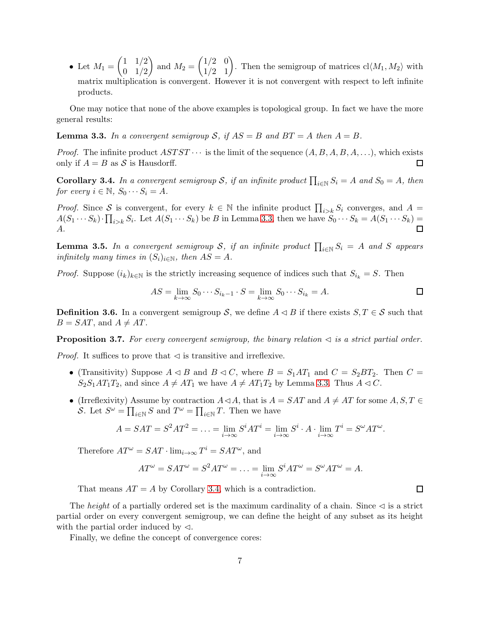• Let  $M_1 = \begin{pmatrix} 1 & 1/2 \\ 0 & 1/2 \end{pmatrix}$  $0 \t1/2$ and  $M_2 = \begin{pmatrix} 1/2 & 0 \\ 1/2 & 1 \end{pmatrix}$ . Then the semigroup of matrices  $cl \langle M_1, M_2 \rangle$  with matrix multiplication is convergent. However it is not convergent with respect to left infinite products.

<span id="page-6-0"></span>One may notice that none of the above examples is topological group. In fact we have the more general results:

**Lemma 3.3.** In a convergent semigroup S, if  $AS = B$  and  $BT = A$  then  $A = B$ .

*Proof.* The infinite product  $ASTST \cdots$  is the limit of the sequence  $(A, B, A, B, A, \ldots)$ , which exists only if  $A = B$  as S is Hausdorff.  $\Box$ 

<span id="page-6-1"></span>**Corollary 3.4.** In a convergent semigroup S, if an infinite product  $\prod_{i\in\mathbb{N}}S_i = A$  and  $S_0 = A$ , then *for every*  $i \in \mathbb{N}$ ,  $S_0 \cdots S_i = A$ .

*Proof.* Since S is convergent, for every  $k \in \mathbb{N}$  the infinite product  $\prod_{i>k} S_i$  converges, and  $A =$  $A(S_1 \cdots S_k) \cdot \prod_{i>k} S_i$ . Let  $A(S_1 \cdots S_k)$  be B in Lemma [3.3,](#page-6-0) then we have  $S_0 \cdots S_k = A(S_1 \cdots S_k) =$ A.  $\Box$ 

<span id="page-6-3"></span>**Lemma 3.5.** In a convergent semigroup  $S$ , if an infinite product  $\prod_{i\in\mathbb{N}}S_i = A$  and  $S$  appears *infinitely many times in*  $(S_i)_{i \in \mathbb{N}}$ *, then*  $AS = A$ *.* 

*Proof.* Suppose  $(i_k)_{k\in\mathbb{N}}$  is the strictly increasing sequence of indices such that  $S_{i_k} = S$ . Then

$$
AS = \lim_{k \to \infty} S_0 \cdots S_{i_k - 1} \cdot S = \lim_{k \to \infty} S_0 \cdots S_{i_k} = A.
$$

 $\Box$ 

<span id="page-6-2"></span>**Definition 3.6.** In a convergent semigroup S, we define  $A \triangleleft B$  if there exists  $S, T \in S$  such that  $B = SAT$ , and  $A \neq AT$ .

**Proposition 3.7.** For every convergent semigroup, the binary relation  $\triangleleft$  is a strict partial order.

*Proof.* It suffices to prove that  $\triangleleft$  is transitive and irreflexive.

- (Transitivity) Suppose  $A \triangleleft B$  and  $B \triangleleft C$ , where  $B = S_1AT_1$  and  $C = S_2BT_2$ . Then  $C =$  $S_2S_1AT_1T_2$ , and since  $A \neq AT_1$  we have  $A \neq AT_1T_2$  by Lemma [3.3.](#page-6-0) Thus  $A \triangleleft C$ .
- (Irreflexivity) Assume by contraction  $A \triangleleft A$ , that is  $A = SAT$  and  $A \neq AT$  for some  $A, S, T \in$ S. Let  $S^{\omega} = \prod_{i \in \mathbb{N}} S$  and  $T^{\omega} = \prod_{i \in \mathbb{N}} T$ . Then we have

$$
A = SAT = S^2AT^2 = \dots = \lim_{i \to \infty} S^iAT^i = \lim_{i \to \infty} S^i \cdot A \cdot \lim_{i \to \infty} T^i = S^{\omega}AT^{\omega}.
$$

Therefore  $AT^{\omega} = SAT \cdot \lim_{i \to \infty} T^i = SAT^{\omega}$ , and

$$
AT^{\omega} = SAT^{\omega} = S^2AT^{\omega} = \dots = \lim_{i \to \infty} S^iAT^{\omega} = S^{\omega}AT^{\omega} = A.
$$

That means  $AT = A$  by Corollary [3.4,](#page-6-1) which is a contradiction.

The *height* of a partially ordered set is the maximum cardinality of a chain. Since  $\triangleleft$  is a strict partial order on every convergent semigroup, we can define the height of any subset as its height with the partial order induced by  $\triangleleft$ .

Finally, we define the concept of convergence cores: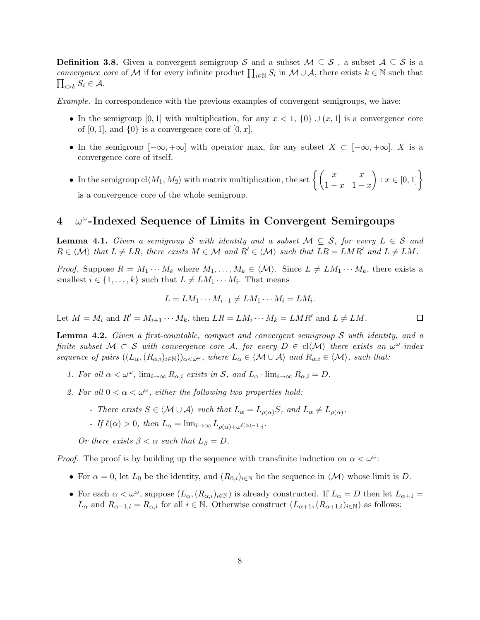**Definition 3.8.** Given a convergent semigroup S and a subset  $M \subseteq S$ , a subset  $A \subseteq S$  is a *convergence core* of M if for every infinite product  $\prod_{i\in\mathbb{N}}S_i$  in  $\mathcal{M}\cup\mathcal{A}$ , there exists  $k\in\mathbb{N}$  such that  $\prod_{i>k} S_i \in A$ .

*Example.* In correspondence with the previous examples of convergent semigroups, we have:

- In the semigroup [0, 1] with multiplication, for any  $x < 1$ ,  $\{0\} \cup (x, 1]$  is a convergence core of  $[0, 1]$ , and  $\{0\}$  is a convergence core of  $[0, x]$ .
- In the semigroup  $[-\infty, +\infty]$  with operator max, for any subset  $X \subset [-\infty, +\infty]$ , X is a convergence core of itself.
- In the semigroup  $\text{cl}\langle M_1, M_2 \rangle$  with matrix multiplication, the set  $\left\{ \begin{pmatrix} x & x \\ 1-x & 1-x \end{pmatrix} \right\}$  $\bigg) : x \in [0,1]$ is a convergence core of the whole semigroup.

# <span id="page-7-0"></span> $4\quad \omega^\omega\text{-Indeed Sequence of Limits in Convergent Semirgoups}$

<span id="page-7-1"></span>**Lemma 4.1.** *Given a semigroup* S *with identity and a subset*  $M \subseteq S$ *, for every*  $L \in S$  *and*  $R \in \langle \mathcal{M} \rangle$  that  $L \neq LR$ , there exists  $M \in \mathcal{M}$  and  $R' \in \langle \mathcal{M} \rangle$  such that  $LR = LMR'$  and  $L \neq LM$ .

*Proof.* Suppose  $R = M_1 \cdots M_k$  where  $M_1, \ldots, M_k \in \langle \mathcal{M} \rangle$ . Since  $L \neq LM_1 \cdots M_k$ , there exists a smallest  $i \in \{1, \ldots, k\}$  such that  $L \neq LM_1 \cdots M_i$ . That means

$$
L = LM_1 \cdots M_{i-1} \neq LM_1 \cdots M_i = LM_i.
$$

<span id="page-7-2"></span>Let  $M = M_i$  and  $R' = M_{i+1} \cdots M_k$ , then  $LR = LM_i \cdots M_k = LMR'$  and  $L \neq LM$ .

Lemma 4.2. *Given a first-countable, compact and convergent semigroup* S *with identity, and a finite subset*  $M \subset S$  *with convergence core* A, for every  $D \in cl \langle M \rangle$  *there exists an*  $\omega^{\omega}$ -index *sequence of pairs*  $((L_{\alpha},(R_{\alpha,i})_{i\in\mathbb{N}}))_{\alpha<\omega^{\omega}}$ *, where*  $L_{\alpha}\in\langle \mathcal{M}\cup\mathcal{A}\rangle$  *and*  $R_{\alpha,i}\in\langle \mathcal{M}\rangle$ *, such that:* 

- *1. For all*  $\alpha < \omega^{\omega}$ ,  $\lim_{i \to \infty} R_{\alpha,i}$  *exists in* S, and  $L_{\alpha} \cdot \lim_{i \to \infty} R_{\alpha,i} = D$ .
- 2. For all  $0 < \alpha < \omega^{\omega}$ , either the following two properties hold:
	- *There exists*  $S \in \langle \mathcal{M} \cup \mathcal{A} \rangle$  *such that*  $L_{\alpha} = L_{\rho(\alpha)}S$ *, and*  $L_{\alpha} \neq L_{\rho(\alpha)}$ *.*
	- *- If*  $\ell(\alpha) > 0$ , then  $L_{\alpha} = \lim_{i \to \infty} L_{\rho(\alpha) + \omega^{\ell(\alpha) 1} \cdot i}$ .

*Or there exists*  $\beta < \alpha$  *such that*  $L_{\beta} = D$ .

*Proof.* The proof is by building up the sequence with transfinite induction on  $\alpha < \omega^{\omega}$ .

- For  $\alpha = 0$ , let  $L_0$  be the identity, and  $(R_{0,i})_{i \in \mathbb{N}}$  be the sequence in  $\langle \mathcal{M} \rangle$  whose limit is D.
- For each  $\alpha < \omega^{\omega}$ , suppose  $(L_{\alpha}, (R_{\alpha,i})_{i\in \mathbb{N}})$  is already constructed. If  $L_{\alpha} = D$  then let  $L_{\alpha+1} =$  $L_{\alpha}$  and  $R_{\alpha+1,i} = R_{\alpha,i}$  for all  $i \in \mathbb{N}$ . Otherwise construct  $(L_{\alpha+1,i}(R_{\alpha+1,i})_{i \in \mathbb{N}})$  as follows:

 $\Box$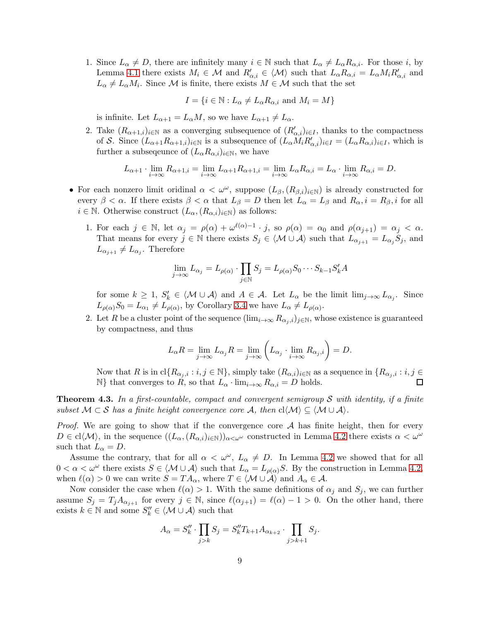1. Since  $L_{\alpha} \neq D$ , there are infinitely many  $i \in \mathbb{N}$  such that  $L_{\alpha} \neq L_{\alpha}R_{\alpha,i}$ . For those i, by Lemma [4.1](#page-7-1) there exists  $M_i \in \mathcal{M}$  and  $R'_{\alpha,i} \in \langle \mathcal{M} \rangle$  such that  $L_{\alpha}R_{\alpha,i} = L_{\alpha}M_iR'_{\alpha,i}$  and  $L_{\alpha} \neq L_{\alpha}M_i$ . Since M is finite, there exists  $M \in \mathcal{M}$  such that the set

$$
I = \{ i \in \mathbb{N} : L_{\alpha} \neq L_{\alpha} R_{\alpha, i} \text{ and } M_i = M \}
$$

is infinite. Let  $L_{\alpha+1} = L_{\alpha}M$ , so we have  $L_{\alpha+1} \neq L_{\alpha}$ .

2. Take  $(R_{\alpha+1,i})_{i\in\mathbb{N}}$  as a converging subsequence of  $(R'_{\alpha,i})_{i\in I}$ , thanks to the compactness of S. Since  $(L_{\alpha+1}R_{\alpha+1,i})_{i\in\mathbb{N}}$  is a subsequence of  $(L_{\alpha}M_iR'_{\alpha,i})_{i\in I} = (L_{\alpha}R_{\alpha,i})_{i\in I}$ , which is further a subsequence of  $(L_{\alpha}R_{\alpha,i})_{i\in\mathbb{N}}$ , we have

$$
L_{\alpha+1} \cdot \lim_{i \to \infty} R_{\alpha+1,i} = \lim_{i \to \infty} L_{\alpha+1} R_{\alpha+1,i} = \lim_{i \to \infty} L_{\alpha} R_{\alpha,i} = L_{\alpha} \cdot \lim_{i \to \infty} R_{\alpha,i} = D.
$$

- For each nonzero limit oridinal  $\alpha < \omega^{\omega}$ , suppose  $(L_{\beta}, (R_{\beta,i})_{i\in \mathbb{N}})$  is already constructed for every  $\beta < \alpha$ . If there exists  $\beta < \alpha$  that  $L_{\beta} = D$  then let  $L_{\alpha} = L_{\beta}$  and  $R_{\alpha}, i = R_{\beta}, i$  for all  $i \in \mathbb{N}$ . Otherwise construct  $(L_{\alpha}, (R_{\alpha,i})_{i \in \mathbb{N}})$  as follows:
	- 1. For each  $j \in \mathbb{N}$ , let  $\alpha_j = \rho(\alpha) + \omega^{\ell(\alpha)-1} \cdot j$ , so  $\rho(\alpha) = \alpha_0$  and  $\rho(\alpha_{j+1}) = \alpha_j < \alpha$ . That means for every  $j \in \mathbb{N}$  there exists  $S_j \in \langle \mathcal{M} \cup \mathcal{A} \rangle$  such that  $L_{\alpha_{j+1}} = L_{\alpha_j} S_j$ , and  $L_{\alpha_{j+1}} \neq L_{\alpha_j}$ . Therefore

$$
\lim_{j \to \infty} L_{\alpha_j} = L_{\rho(\alpha)} \cdot \prod_{j \in \mathbb{N}} S_j = L_{\rho(\alpha)} S_0 \cdots S_{k-1} S'_k A
$$

for some  $k \geq 1$ ,  $S'_{k} \in \langle \mathcal{M} \cup \mathcal{A} \rangle$  and  $A \in \mathcal{A}$ . Let  $L_{\alpha}$  be the limit  $\lim_{j \to \infty} L_{\alpha_j}$ . Since  $L_{\rho(\alpha)}S_0 = L_{\alpha_1} \neq L_{\rho(\alpha)}$ , by Corollary [3.4](#page-6-1) we have  $L_{\alpha} \neq L_{\rho(\alpha)}$ .

2. Let R be a cluster point of the sequence  $(\lim_{i\to\infty} R_{\alpha_i,i})_{i\in\mathbb{N}}$ , whose existence is guaranteed by compactness, and thus

$$
L_{\alpha}R = \lim_{j \to \infty} L_{\alpha_j}R = \lim_{j \to \infty} \left( L_{\alpha_j} \cdot \lim_{i \to \infty} R_{\alpha_j, i} \right) = D.
$$

Now that R is in  $\text{cl}\{R_{\alpha_j,i} : i,j \in \mathbb{N}\}\$ , simply take  $(R_{\alpha,i})_{i\in\mathbb{N}}$  as a sequence in  $\{R_{\alpha_j,i} : i,j \in \mathbb{N}\}\$ N} that converges to R, so that  $L_{\alpha} \cdot \lim_{i \to \infty} R_{\alpha,i} = D$  holds. □

Theorem 4.3. *In a first-countable, compact and convergent semigroup* S *with identity, if a finite subset*  $M \subset S$  *has a finite height convergence core* A, then  $cl(M) \subseteq \langle M \cup A \rangle$ .

*Proof.* We are going to show that if the convergence core A has finite height, then for every  $D \in cl\langle \mathcal{M} \rangle$ , in the sequence  $((L_{\alpha},(R_{\alpha,i})_{i\in\mathbb{N}}))_{\alpha<\omega^{\omega}}$  constructed in Lemma [4.2](#page-7-2) there exists  $\alpha<\omega^{\omega}$ such that  $L_{\alpha} = D$ .

Assume the contrary, that for all  $\alpha < \omega^{\omega}$ ,  $L_{\alpha} \neq D$ . In Lemma [4.2](#page-7-2) we showed that for all  $0 < \alpha < \omega^{\omega}$  there exists  $S \in \langle \mathcal{M} \cup \mathcal{A} \rangle$  such that  $L_{\alpha} = L_{\rho(\alpha)}S$ . By the construction in Lemma [4.2,](#page-7-2) when  $\ell(\alpha) > 0$  we can write  $S = TA_{\alpha}$ , where  $T \in \langle \mathcal{M} \cup \mathcal{A} \rangle$  and  $A_{\alpha} \in \mathcal{A}$ .

Now consider the case when  $\ell(\alpha) > 1$ . With the same definitions of  $\alpha_j$  and  $S_j$ , we can further assume  $S_j = T_j A_{\alpha_{j+1}}$  for every  $j \in \mathbb{N}$ , since  $\ell(\alpha_{j+1}) = \ell(\alpha) - 1 > 0$ . On the other hand, there exists  $k \in \mathbb{N}$  and some  $S_k'' \in \langle \mathcal{M} \cup \mathcal{A} \rangle$  such that

$$
A_{\alpha} = S_{k}'' \cdot \prod_{j>k} S_j = S_{k}'' T_{k+1} A_{\alpha_{k+2}} \cdot \prod_{j>k+1} S_j.
$$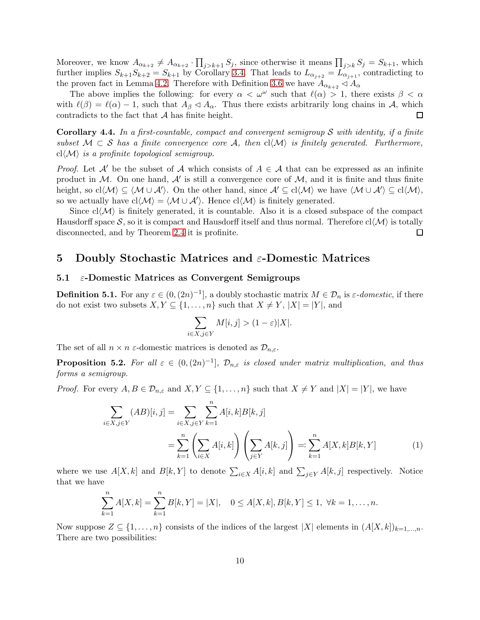Moreover, we know  $A_{\alpha_{k+2}} \neq A_{\alpha_{k+2}} \cdot \prod_{j>k+1} S_j$ , since otherwise it means  $\prod_{j>k} S_j = S_{k+1}$ , which further implies  $S_{k+1}S_{k+2} = S_{k+1}$  by Corollary [3.4.](#page-6-1) That leads to  $L_{\alpha_{j+2}} = L_{\alpha_{j+1}}$ , contradicting to the proven fact in Lemma [4.2.](#page-7-2) Therefore with Definition [3.6](#page-6-2) we have  $A_{\alpha_{k+2}} \triangleleft A_{\alpha}$ 

The above implies the following: for every  $\alpha < \omega^{\omega}$  such that  $\ell(\alpha) > 1$ , there exists  $\beta < \alpha$ with  $\ell(\beta) = \ell(\alpha) - 1$ , such that  $A_{\beta} \lhd A_{\alpha}$ . Thus there exists arbitrarily long chains in A, which contradicts to the fact that  $A$  has finite height.  $\Box$ 

<span id="page-9-2"></span>Corollary 4.4. *In a first-countable, compact and convergent semigroup* S *with identity, if a finite subset*  $M \subset S$  *has a finite convergence core* A, then  $cl \langle M \rangle$  *is finitely generated. Furthermore,*  $cl\langle \mathcal{M} \rangle$  *is a profinite topological semigroup.* 

*Proof.* Let A' be the subset of A which consists of  $A \in \mathcal{A}$  that can be expressed as an infinite product in M. On one hand,  $A'$  is still a convergence core of M, and it is finite and thus finite height, so  $\text{cl}\langle \mathcal{M} \rangle \subseteq \langle \mathcal{M} \cup \mathcal{A}' \rangle$ . On the other hand, since  $\mathcal{A}' \subseteq \text{cl}\langle \mathcal{M} \rangle$  we have  $\langle \mathcal{M} \cup \mathcal{A}' \rangle \subseteq \text{cl}\langle \mathcal{M} \rangle$ , so we actually have  $\text{cl}\langle\mathcal{M}\rangle = \langle\mathcal{M}\cup\mathcal{A}'\rangle$ . Hence  $\text{cl}\langle\mathcal{M}\rangle$  is finitely generated.

Since  $cl(\mathcal{M})$  is finitely generated, it is countable. Also it is a closed subspace of the compact Hausdorff space S, so it is compact and Hausdorff itself and thus normal. Therefore  $cl(\mathcal{M})$  is totally disconnected, and by Theorem [2.4](#page-5-1) it is profinite.  $\Box$ 

# <span id="page-9-0"></span>5 Doubly Stochastic Matrices and ε-Domestic Matrices

#### $5.1$   $\varepsilon$ -Domestic Matrices as Convergent Semigroups

**Definition 5.1.** For any  $\varepsilon \in (0, (2n)^{-1}]$ , a doubly stochastic matrix  $M \in \mathcal{D}_n$  is  $\varepsilon$ -domestic, if there do not exist two subsets  $X, Y \subseteq \{1, \ldots, n\}$  such that  $X \neq Y, |X| = |Y|$ , and

<span id="page-9-1"></span>
$$
\sum_{i \in X, j \in Y} M[i, j] > (1 - \varepsilon)|X|.
$$

The set of all  $n \times n$  *ε*-domestic matrices is denoted as  $\mathcal{D}_{n,\varepsilon}$ .

**Proposition 5.2.** For all  $\varepsilon \in (0, (2n)^{-1}]$ ,  $\mathcal{D}_{n,\varepsilon}$  is closed under matrix multiplication, and thus *forms a semigroup.*

*Proof.* For every  $A, B \in \mathcal{D}_{n,\varepsilon}$  and  $X, Y \subseteq \{1, \ldots, n\}$  such that  $X \neq Y$  and  $|X| = |Y|$ , we have

$$
\sum_{i \in X, j \in Y} (AB)[i, j] = \sum_{i \in X, j \in Y} \sum_{k=1}^{n} A[i, k] B[k, j] \n= \sum_{k=1}^{n} \left( \sum_{i \in X} A[i, k] \right) \left( \sum_{j \in Y} A[k, j] \right) =: \sum_{k=1}^{n} A[X, k] B[k, Y]
$$
\n(1)

where we use  $A[X, k]$  and  $B[k, Y]$  to denote  $\sum_{i \in X} A[i, k]$  and  $\sum_{j \in Y} A[k, j]$  respectively. Notice that we have

$$
\sum_{k=1}^{n} A[X,k] = \sum_{k=1}^{n} B[k,Y] = |X|, \quad 0 \le A[X,k], B[k,Y] \le 1, \ \forall k = 1, \dots, n.
$$

Now suppose  $Z \subseteq \{1, \ldots, n\}$  consists of the indices of the largest  $|X|$  elements in  $(A[X, k])_{k=1,\ldots,n}$ . There are two possibilities: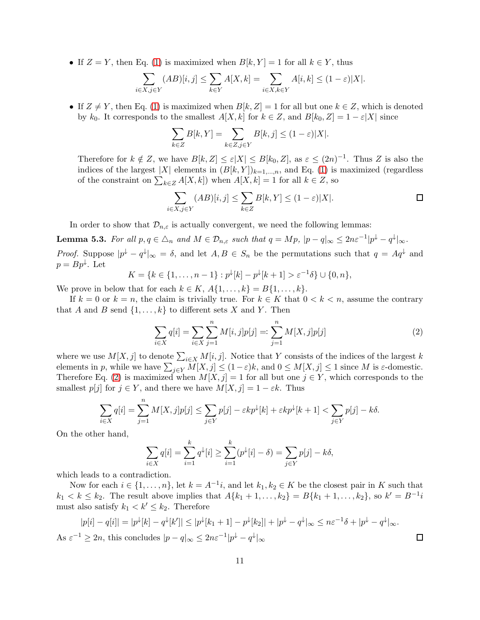• If  $Z = Y$ , then Eq. [\(1\)](#page-9-1) is maximized when  $B[k, Y] = 1$  for all  $k \in Y$ , thus

$$
\sum_{i \in X, j \in Y} (AB)[i, j] \le \sum_{k \in Y} A[X, k] = \sum_{i \in X, k \in Y} A[i, k] \le (1 - \varepsilon)|X|.
$$

• If  $Z \neq Y$ , then Eq. [\(1\)](#page-9-1) is maximized when  $B[k, Z] = 1$  for all but one  $k \in Z$ , which is denoted by  $k_0$ . It corresponds to the smallest  $A[X, k]$  for  $k \in \mathbb{Z}$ , and  $B[k_0, \mathbb{Z}] = 1 - \varepsilon |X|$  since

$$
\sum_{k \in \mathbb{Z}} B[k, Y] = \sum_{k \in \mathbb{Z}, j \in Y} B[k, j] \le (1 - \varepsilon)|X|.
$$

Therefore for  $k \notin \mathbb{Z}$ , we have  $B[k, \mathbb{Z}] \leq \varepsilon |X| \leq B[k_0, \mathbb{Z}]$ , as  $\varepsilon \leq (2n)^{-1}$ . Thus  $\mathbb Z$  is also the indices of the largest |X| elements in  $(B[k, Y])_{k=1,\dots,n}$ , and Eq. [\(1\)](#page-9-1) is maximized (regardless of the constraint on  $\sum_{k \in \mathbb{Z}} A[X, k]$  when  $A[X, k] = 1$  for all  $k \in \mathbb{Z}$ , so

$$
\sum_{i \in X, j \in Y} (AB)[i, j] \le \sum_{k \in Z} B[k, Y] \le (1 - \varepsilon)|X|.
$$

<span id="page-10-2"></span>In order to show that  $\mathcal{D}_{n,\varepsilon}$  is actually convergent, we need the following lemmas:

**Lemma 5.3.** For all  $p, q \in \Delta_n$  and  $M \in \mathcal{D}_{n,\varepsilon}$  such that  $q = Mp$ ,  $|p - q|_{\infty} \leq 2n\varepsilon^{-1}|p^{\downarrow} - q^{\downarrow}|_{\infty}$ .

*Proof.* Suppose  $|p^{\downarrow} - q^{\downarrow}|_{\infty} = \delta$ , and let  $A, B \in S_n$  be the permutations such that  $q = Aq^{\downarrow}$  and  $p = Bp^{\downarrow}$ . Let

$$
K = \{k \in \{1, \dots, n-1\} : p^{\downarrow}[k] - p^{\downarrow}[k+1] > \varepsilon^{-1}\delta\} \cup \{0, n\},\
$$

We prove in below that for each  $k \in K$ ,  $A\{1,\ldots,k\} = B\{1,\ldots,k\}$ .

If  $k = 0$  or  $k = n$ , the claim is trivially true. For  $k \in K$  that  $0 < k < n$ , assume the contrary that A and B send  $\{1, \ldots, k\}$  to different sets X and Y. Then

<span id="page-10-0"></span>
$$
\sum_{i \in X} q[i] = \sum_{i \in X} \sum_{j=1}^{n} M[i, j] p[j] =: \sum_{j=1}^{n} M[X, j] p[j]
$$
 (2)

where we use  $M[X, j]$  to denote  $\sum_{i \in X} M[i, j]$ . Notice that Y consists of the indices of the largest k elements in p, while we have  $\sum_{j\in Y} M[X,j] \leq (1-\varepsilon)k$ , and  $0 \leq M[X,j] \leq 1$  since M is  $\varepsilon$ -domestic. Therefore Eq. [\(2\)](#page-10-0) is maximized when  $M[X, j] = 1$  for all but one  $j \in Y$ , which corresponds to the smallest  $p[j]$  for  $j \in Y$ , and there we have  $M[X, j] = 1 - \varepsilon k$ . Thus

$$
\sum_{i \in X} q[i] = \sum_{j=1}^{n} M[X,j]p[j] \le \sum_{j \in Y} p[j] - \varepsilon k p^{\downarrow}[k] + \varepsilon k p^{\downarrow}[k+1] < \sum_{j \in Y} p[j] - k\delta.
$$

On the other hand,

$$
\sum_{i \in X} q[i] = \sum_{i=1}^{k} q^{\downarrow}[i] \ge \sum_{i=1}^{k} (p^{\downarrow}[i] - \delta) = \sum_{j \in Y} p[j] - k\delta,
$$

which leads to a contradiction.

Now for each  $i \in \{1, \ldots, n\}$ , let  $k = A^{-1}i$ , and let  $k_1, k_2 \in K$  be the closest pair in K such that  $k_1 < k \leq k_2$ . The result above implies that  $A\{k_1 + 1, \ldots, k_2\} = B\{k_1 + 1, \ldots, k_2\}$ , so  $k' = B^{-1}i$ must also satisfy  $k_1 < k' \leq k_2$ . Therefore

<span id="page-10-1"></span>
$$
|p[i] - q[i]| = |p^{\downarrow}[k] - q^{\downarrow}[k']| \le |p^{\downarrow}[k_1 + 1] - p^{\downarrow}[k_2]| + |p^{\downarrow} - q^{\downarrow}|_{\infty} \le n\varepsilon^{-1}\delta + |p^{\downarrow} - q^{\downarrow}|_{\infty}.
$$
  
As  $\varepsilon^{-1} \ge 2n$ , this concludes  $|p - q|_{\infty} \le 2n\varepsilon^{-1}|p^{\downarrow} - q^{\downarrow}|_{\infty}$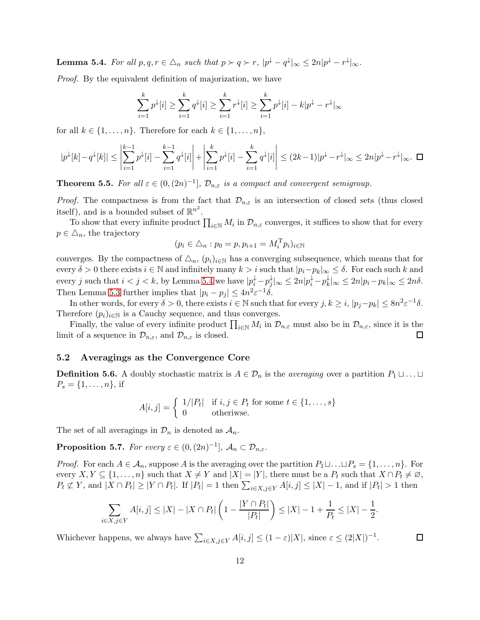Lemma 5.4. *For all*  $p, q, r \in \triangle_n$  *such that*  $p \succ q \succ r$ ,  $|p^{\downarrow} - q^{\downarrow}|_{\infty} \leq 2n|p^{\downarrow} - r^{\downarrow}|_{\infty}$ .

*Proof.* By the equivalent definition of majorization, we have

$$
\sum_{i=1}^{k} p^{\downarrow}[i] \ge \sum_{i=1}^{k} q^{\downarrow}[i] \ge \sum_{i=1}^{k} r^{\downarrow}[i] \ge \sum_{i=1}^{k} p^{\downarrow}[i] - k|p^{\downarrow} - r^{\downarrow}|_{\infty}
$$

for all  $k \in \{1, \ldots, n\}$ . Therefore for each  $k \in \{1, \ldots, n\}$ ,

$$
|p^{\downarrow}[k] - q^{\downarrow}[k]| \le \left| \sum_{i=1}^{k-1} p^{\downarrow}[i] - \sum_{i=1}^{k-1} q^{\downarrow}[i] \right| + \left| \sum_{i=1}^{k} p^{\downarrow}[i] - \sum_{i=1}^{k} q^{\downarrow}[i] \right| \le (2k-1)|p^{\downarrow} - r^{\downarrow}|_{\infty} \le 2n|p^{\downarrow} - r^{\downarrow}|_{\infty}.
$$

<span id="page-11-2"></span>**Theorem 5.5.** For all  $\varepsilon \in (0, (2n)^{-1}]$ ,  $\mathcal{D}_{n,\varepsilon}$  is a compact and convergent semigroup.

*Proof.* The compactness is from the fact that  $\mathcal{D}_{n,\varepsilon}$  is an intersection of closed sets (thus closed itself), and is a bounded subset of  $\mathbb{R}^{n^2}$ .

To show that every infinite product  $\prod_{i\in\mathbb{N}}M_i$  in  $\mathcal{D}_{n,\varepsilon}$  converges, it suffices to show that for every  $p \in \Delta_n$ , the trajectory

$$
(p_i \in \triangle_n : p_0 = p, p_{i+1} = M_i^T p_i)_{i \in \mathbb{N}}
$$

converges. By the compactness of  $\Delta_n$ ,  $(p_i)_{i\in\mathbb{N}}$  has a converging subsequence, which means that for every  $\delta > 0$  there exists  $i \in \mathbb{N}$  and infinitely many  $k > i$  such that  $|p_i - p_k|_{\infty} \leq \delta$ . For each such k and every j such that  $i < j < k$ , by Lemma [5.4](#page-10-1) we have  $|p_i^{\downarrow} - p_j^{\downarrow}$  $\frac{1}{j}\vert_\infty \leq 2n\vert p_i^\downarrow - p_k^\downarrow$  $\vert k \vert_\infty \leq 2n \vert p_i - p_k \vert_\infty \leq 2n\delta.$ Then Lemma [5.3](#page-10-2) further implies that  $|p_i - p_j| \leq 4n^2 \varepsilon^{-1} \delta$ .

In other words, for every  $\delta > 0$ , there exists  $i \in \mathbb{N}$  such that for every  $j, k \geq i$ ,  $|p_j - p_k| \leq 8n^2 \varepsilon^{-1} \delta$ . Therefore  $(p_i)_{i \in \mathbb{N}}$  is a Cauchy sequence, and thus converges.

Finally, the value of every infinite product  $\prod_{i\in\mathbb{N}}M_i$  in  $\mathcal{D}_{n,\varepsilon}$  must also be in  $\mathcal{D}_{n,\varepsilon}$ , since it is the limit of a sequence in  $\mathcal{D}_{n,\varepsilon}$ , and  $\mathcal{D}_{n,\varepsilon}$  is closed.  $\Box$ 

### <span id="page-11-0"></span>5.2 Averagings as the Convergence Core

**Definition 5.6.** A doubly stochastic matrix is  $A \in \mathcal{D}_n$  is the *averaging* over a partition  $P_1 \sqcup \ldots \sqcup$  $P_s = \{1, \ldots, n\},\,$ if

$$
A[i,j] = \begin{cases} 1/|P_t| & \text{if } i, j \in P_t \text{ for some } t \in \{1, \dots, s\} \\ 0 & \text{otherwise.} \end{cases}
$$

The set of all averagings in  $\mathcal{D}_n$  is denoted as  $\mathcal{A}_n$ .

**Proposition 5.7.** *For every*  $\varepsilon \in (0, (2n)^{-1}]$ ,  $\mathcal{A}_n \subset \mathcal{D}_{n,\varepsilon}$ *.* 

*Proof.* For each  $A \in \mathcal{A}_n$ , suppose A is the averaging over the partition  $P_1 \sqcup \ldots \sqcup P_s = \{1, \ldots, n\}$ . For every  $X, Y \subseteq \{1, \ldots, n\}$  such that  $X \neq Y$  and  $|X| = |Y|$ , there must be a  $P_t$  such that  $X \cap P_t \neq \emptyset$ ,  $P_t \not\subset Y$ , and  $|X \cap P_t| \geq |Y \cap P_t|$ . If  $|P_t| = 1$  then  $\sum_{i \in X, j \in Y} A[i, j] \leq |X| - 1$ , and if  $|P_t| > 1$  then

$$
\sum_{i \in X, j \in Y} A[i, j] \le |X| - |X \cap P_t| \left( 1 - \frac{|Y \cap P_t|}{|P_t|} \right) \le |X| - 1 + \frac{1}{P_t} \le |X| - \frac{1}{2}.
$$

<span id="page-11-1"></span>Whichever happens, we always have  $\sum_{i\in X,j\in Y} A[i,j] \leq (1-\varepsilon)|X|$ , since  $\varepsilon \leq (2|X|)^{-1}$ .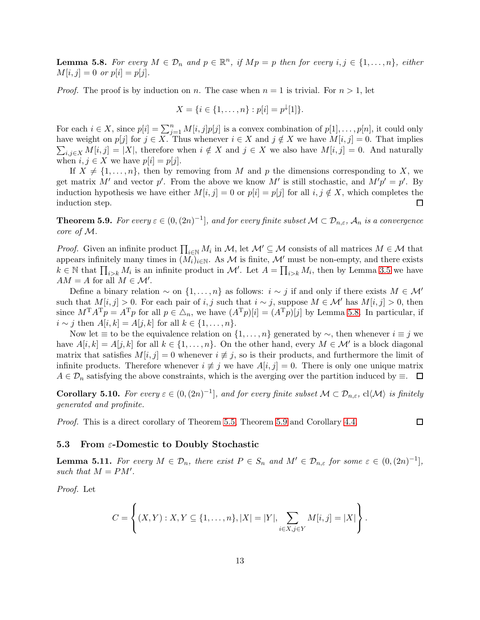**Lemma 5.8.** For every  $M \in \mathcal{D}_n$  and  $p \in \mathbb{R}^n$ , if  $Mp = p$  then for every  $i, j \in \{1, ..., n\}$ , either  $M[i, j] = 0 \text{ or } p[i] = p[j].$ 

*Proof.* The proof is by induction on n. The case when  $n = 1$  is trivial. For  $n > 1$ , let

$$
X = \{i \in \{1, \ldots, n\} : p[i] = p^{\downarrow}[1]\}.
$$

For each  $i \in X$ , since  $p[i] = \sum_{j=1}^{n} M[i, j] p[j]$  is a convex combination of  $p[1], \ldots, p[n]$ , it could only  $\sum_{i,j\in X} M[i,j] = |X|$ , therefore when  $i \notin X$  and  $j \in X$  we also have  $M[i,j] = 0$ . And naturally have weight on  $p[j]$  for  $j \in X$ . Thus whenever  $i \in X$  and  $j \notin X$  we have  $M[i, j] = 0$ . That implies when  $i, j \in X$  we have  $p[i] = p[j]$ .

If  $X \neq \{1, \ldots, n\}$ , then by removing from M and p the dimensions corresponding to X, we get matrix M' and vector p'. From the above we know M' is still stochastic, and  $M'p' = p'$ . By induction hypothesis we have either  $M[i, j] = 0$  or  $p[i] = p[j]$  for all  $i, j \notin X$ , which completes the  $\Box$ induction step.

<span id="page-12-1"></span>**Theorem 5.9.** For every  $\varepsilon \in (0, (2n)^{-1}]$ , and for every finite subset  $\mathcal{M} \subset \mathcal{D}_{n,\varepsilon}$ ,  $\mathcal{A}_n$  is a convergence *core of* M*.*

*Proof.* Given an infinite product  $\prod_{i\in\mathbb{N}}M_i$  in  $\mathcal{M}$ , let  $\mathcal{M}'\subseteq\mathcal{M}$  consists of all matrices  $M\in\mathcal{M}$  that appears infinitely many times in  $(M_i)_{i\in\mathbb{N}}$ . As M is finite, M' must be non-empty, and there exists  $k \in \mathbb{N}$  that  $\prod_{i>k} M_i$  is an infinite product in M'. Let  $A = \prod_{i>k} M_i$ , then by Lemma [3.5](#page-6-3) we have  $AM = A$  for all  $M \in \mathcal{M}'$ .

Define a binary relation  $\sim$  on  $\{1, \ldots, n\}$  as follows:  $i \sim j$  if and only if there exists  $M \in \mathcal{M}'$ such that  $M[i, j] > 0$ . For each pair of i, j such that  $i \sim j$ , suppose  $M \in \mathcal{M}'$  has  $M[i, j] > 0$ , then since  $M^T A^T p = A^T p$  for all  $p \in \Delta_n$ , we have  $(A^T p)[i] = (A^T p)[j]$  by Lemma [5.8.](#page-11-1) In particular, if *i* ∼ *j* then  $A[i, k] = A[j, k]$  for all  $k \in \{1, ..., n\}$ .

Now let  $\equiv$  to be the equivalence relation on  $\{1,\ldots,n\}$  generated by  $\sim$ , then whenever  $i\equiv j$  we have  $A[i, k] = A[j, k]$  for all  $k \in \{1, ..., n\}$ . On the other hand, every  $M \in \mathcal{M}'$  is a block diagonal matrix that satisfies  $M[i, j] = 0$  whenever  $i \neq j$ , so is their products, and furthermore the limit of infinite products. Therefore whenever  $i \neq j$  we have  $A[i, j] = 0$ . There is only one unique matrix  $A \in \mathcal{D}_n$  satisfying the above constraints, which is the averging over the partition induced by  $\equiv$ .  $\Box$ 

<span id="page-12-3"></span>**Corollary 5.10.** For every  $\varepsilon \in (0, (2n)^{-1}]$ , and for every finite subset  $\mathcal{M} \subset \mathcal{D}_{n,\varepsilon}$ ,  $\text{cl}\langle\mathcal{M}\rangle$  is finitely *generated and profinite.*

 $\Box$ 

*Proof.* This is a direct corollary of Theorem [5.5,](#page-11-2) Theorem [5.9](#page-12-1) and Corollary [4.4.](#page-9-2)

#### <span id="page-12-2"></span><span id="page-12-0"></span>5.3 From  $\varepsilon$ -Domestic to Doubly Stochastic

**Lemma 5.11.** For every  $M \in \mathcal{D}_n$ , there exist  $P \in S_n$  and  $M' \in \mathcal{D}_{n,\varepsilon}$  for some  $\varepsilon \in (0,(2n)^{-1}]$ , such that  $M = PM'$ .

*Proof.* Let

$$
C = \left\{ (X, Y) : X, Y \subseteq \{1, ..., n\}, |X| = |Y|, \sum_{i \in X, j \in Y} M[i, j] = |X| \right\}.
$$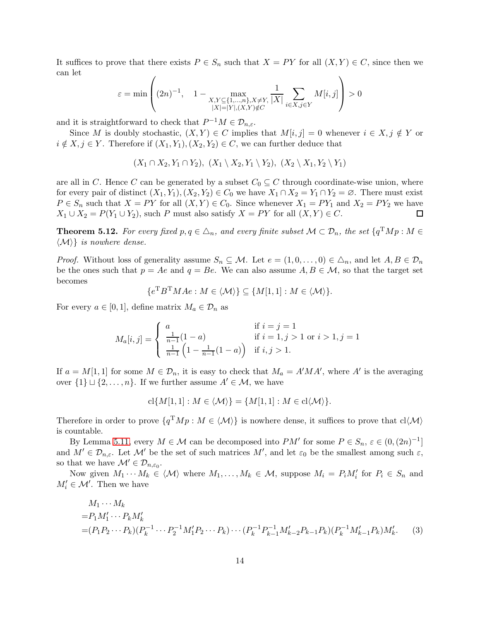It suffices to prove that there exists  $P \in S_n$  such that  $X = PY$  for all  $(X, Y) \in C$ , since then we can let

$$
\varepsilon = \min \left( (2n)^{-1}, \quad 1 - \max_{\substack{X, Y \subseteq \{1, \dots, n\}, X \neq Y, \\ |X| = |Y|, (X, Y) \notin C}} \frac{1}{|X|} \sum_{i \in X, j \in Y} M[i, j] \right) > 0
$$

and it is straightforward to check that  $P^{-1}M \in \mathcal{D}_{n,\varepsilon}$ .

Since M is doubly stochastic,  $(X, Y) \in C$  implies that  $M[i, j] = 0$  whenever  $i \in X, j \notin Y$  or  $i \notin X, j \in Y$ . Therefore if  $(X_1, Y_1), (X_2, Y_2) \in C$ , we can further deduce that

$$
(X_1 \cap X_2, Y_1 \cap Y_2), (X_1 \setminus X_2, Y_1 \setminus Y_2), (X_2 \setminus X_1, Y_2 \setminus Y_1)
$$

are all in C. Hence C can be generated by a subset  $C_0 \subseteq C$  through coordinate-wise union, where for every pair of distinct  $(X_1, Y_1), (X_2, Y_2) \in C_0$  we have  $X_1 \cap X_2 = Y_1 \cap Y_2 = \emptyset$ . There must exist  $P \in S_n$  such that  $X = PY$  for all  $(X, Y) \in C_0$ . Since whenever  $X_1 = PY_1$  and  $X_2 = PY_2$  we have  $X_1 \cup X_2 = P(Y_1 \cup Y_2)$ , such P must also satisfy  $X = PY$  for all  $(X, Y) \in C$ .  $\Box$ 

**Theorem 5.12.** For every fixed  $p, q \in \triangle_n$ , and every finite subset  $\mathcal{M} \subset \mathcal{D}_n$ , the set  $\{q^TMp : M \in \mathcal{D}_n\}$  $\langle \mathcal{M} \rangle$  *is nowhere dense.* 

*Proof.* Without loss of generality assume  $S_n \subseteq \mathcal{M}$ . Let  $e = (1, 0, \ldots, 0) \in \Delta_n$ , and let  $A, B \in \mathcal{D}_n$ be the ones such that  $p = Ae$  and  $q = Be$ . We can also assume  $A, B \in \mathcal{M}$ , so that the target set becomes

$$
\{e^{\mathrm{T}}B^{\mathrm{T}}MAe : M \in \langle \mathcal{M} \rangle\} \subseteq \{M[1,1] : M \in \langle \mathcal{M} \rangle\}.
$$

For every  $a \in [0,1]$ , define matrix  $M_a \in \mathcal{D}_n$  as

$$
M_a[i,j] = \begin{cases} a & \text{if } i = j = 1\\ \frac{1}{n-1}(1-a) & \text{if } i = 1, j > 1 \text{ or } i > 1, j = 1\\ \frac{1}{n-1}(1-\frac{1}{n-1}(1-a)) & \text{if } i, j > 1. \end{cases}
$$

If  $a = M[1,1]$  for some  $M \in \mathcal{D}_n$ , it is easy to check that  $M_a = A'MA'$ , where A' is the averaging over  $\{1\} \sqcup \{2,\ldots,n\}$ . If we further assume  $A' \in \mathcal{M}$ , we have

<span id="page-13-0"></span>
$$
cl{M[1,1]: M \in \langle \mathcal{M} \rangle} = {M[1,1]: M \in cl \langle \mathcal{M} \rangle}.
$$

Therefore in order to prove  $\{q^TMp : M \in \langle \mathcal{M} \rangle\}$  is nowhere dense, it suffices to prove that  $cl \langle \mathcal{M} \rangle$ is countable.

By Lemma [5.11,](#page-12-2) every  $M \in \mathcal{M}$  can be decomposed into  $PM'$  for some  $P \in S_n$ ,  $\varepsilon \in (0, (2n)^{-1}]$ and  $M' \in \mathcal{D}_{n,\varepsilon}$ . Let  $\mathcal{M}'$  be the set of such matrices  $M'$ , and let  $\varepsilon_0$  be the smallest among such  $\varepsilon$ , so that we have  $\mathcal{M}' \in \mathcal{D}_{n,\varepsilon_0}$ .

Now given  $M_1 \cdots M_k \in \langle \mathcal{M} \rangle$  where  $M_1, \ldots, M_k \in \mathcal{M}$ , suppose  $M_i = P_i M'_i$  for  $P_i \in S_n$  and  $M'_i \in \mathcal{M}'$ . Then we have

$$
M_1 \cdots M_k
$$
  
=  $P_1 M'_1 \cdots P_k M'_k$   
=  $(P_1 P_2 \cdots P_k)(P_k^{-1} \cdots P_2^{-1} M'_1 P_2 \cdots P_k) \cdots (P_k^{-1} P_{k-1}^{-1} M'_{k-2} P_{k-1} P_k)(P_k^{-1} M'_{k-1} P_k) M'_k.$  (3)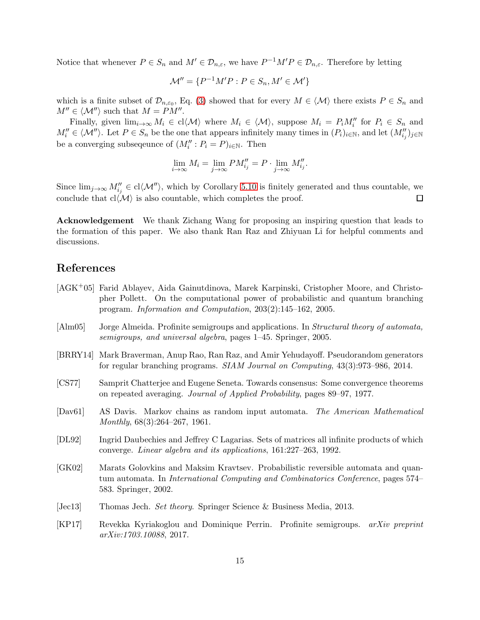Notice that whenever  $P \in S_n$  and  $M' \in \mathcal{D}_{n,\varepsilon}$ , we have  $P^{-1}M'P \in \mathcal{D}_{n,\varepsilon}$ . Therefore by letting

$$
\mathcal{M}'' = \{ P^{-1}M'P : P \in S_n, M' \in \mathcal{M}' \}
$$

which is a finite subset of  $\mathcal{D}_{n,\varepsilon_0}$ , Eq. [\(3\)](#page-13-0) showed that for every  $M \in \langle \mathcal{M} \rangle$  there exists  $P \in S_n$  and  $M'' \in \langle \mathcal{M}'' \rangle$  such that  $M = PM''$ .

Finally, given  $\lim_{i\to\infty} M_i \in cl\langle \mathcal{M} \rangle$  where  $M_i \in \langle \mathcal{M} \rangle$ , suppose  $M_i = P_i M''_i$  for  $P_i \in S_n$  and  $M''_i \in \langle \mathcal{M}'' \rangle$ . Let  $P \in S_n$  be the one that appears infinitely many times in  $(P_i)_{i \in \mathbb{N}}$ , and let  $(M''_{i_j})_{j \in \mathbb{N}}$ be a converging subsequence of  $(M''_i : P_i = P)_{i \in \mathbb{N}}$ . Then

$$
\lim_{i \to \infty} M_i = \lim_{j \to \infty} PM''_{i_j} = P \cdot \lim_{j \to \infty} M''_{i_j}.
$$

Since  $\lim_{j\to\infty} M''_{i_j} \in \text{cl}\langle \mathcal{M}''\rangle$ , which by Corollary [5.10](#page-12-3) is finitely generated and thus countable, we conclude that  $cl(\mathcal{M})$  is also countable, which completes the proof.  $\Box$ 

Acknowledgement We thank Zichang Wang for proposing an inspiring question that leads to the formation of this paper. We also thank Ran Raz and Zhiyuan Li for helpful comments and discussions.

# References

- <span id="page-14-2"></span>[AGK+05] Farid Ablayev, Aida Gainutdinova, Marek Karpinski, Cristopher Moore, and Christopher Pollett. On the computational power of probabilistic and quantum branching program. *Information and Computation*, 203(2):145–162, 2005.
- <span id="page-14-8"></span>[Alm05] Jorge Almeida. Profinite semigroups and applications. In *Structural theory of automata, semigroups, and universal algebra*, pages 1–45. Springer, 2005.
- <span id="page-14-3"></span>[BRRY14] Mark Braverman, Anup Rao, Ran Raz, and Amir Yehudayoff. Pseudorandom generators for regular branching programs. *SIAM Journal on Computing*, 43(3):973–986, 2014.
- <span id="page-14-4"></span>[CS77] Samprit Chatterjee and Eugene Seneta. Towards consensus: Some convergence theorems on repeated averaging. *Journal of Applied Probability*, pages 89–97, 1977.
- <span id="page-14-0"></span>[Dav61] AS Davis. Markov chains as random input automata. *The American Mathematical Monthly*, 68(3):264–267, 1961.
- <span id="page-14-5"></span>[DL92] Ingrid Daubechies and Jeffrey C Lagarias. Sets of matrices all infinite products of which converge. *Linear algebra and its applications*, 161:227–263, 1992.
- <span id="page-14-1"></span>[GK02] Marats Golovkins and Maksim Kravtsev. Probabilistic reversible automata and quantum automata. In *International Computing and Combinatorics Conference*, pages 574– 583. Springer, 2002.
- <span id="page-14-6"></span>[Jec13] Thomas Jech. *Set theory*. Springer Science & Business Media, 2013.
- <span id="page-14-7"></span>[KP17] Revekka Kyriakoglou and Dominique Perrin. Profinite semigroups. *arXiv preprint arXiv:1703.10088*, 2017.